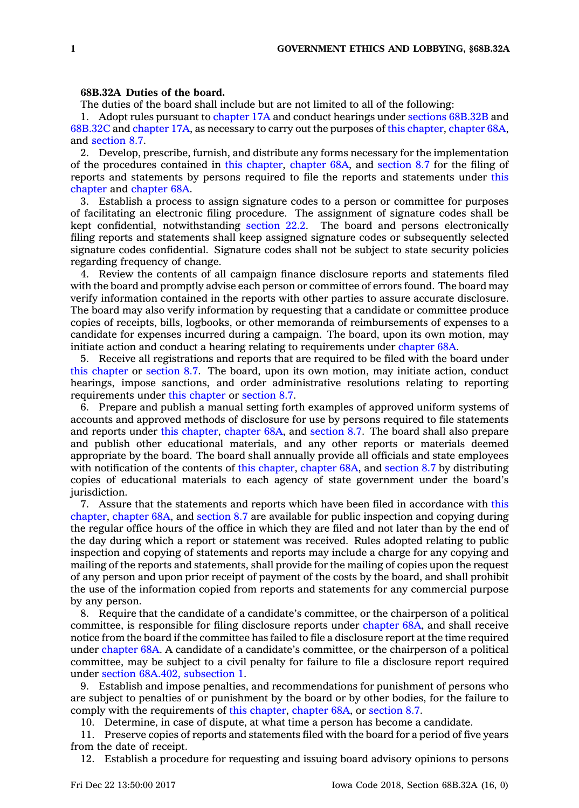## **68B.32A Duties of the board.**

The duties of the board shall include but are not limited to all of the following:

1. Adopt rules pursuant to [chapter](https://www.legis.iowa.gov/docs/code//17A.pdf) 17A and conduct hearings under sections [68B.32B](https://www.legis.iowa.gov/docs/code/68B.32B.pdf) and [68B.32C](https://www.legis.iowa.gov/docs/code/68B.32C.pdf) and [chapter](https://www.legis.iowa.gov/docs/code//17A.pdf) 17A, as necessary to carry out the purposes of this [chapter](https://www.legis.iowa.gov/docs/code//68B.pdf), [chapter](https://www.legis.iowa.gov/docs/code//68A.pdf) 68A, and [section](https://www.legis.iowa.gov/docs/code/8.7.pdf) 8.7.

2. Develop, prescribe, furnish, and distribute any forms necessary for the implementation of the procedures contained in this [chapter](https://www.legis.iowa.gov/docs/code//68B.pdf), [chapter](https://www.legis.iowa.gov/docs/code//68A.pdf) 68A, and [section](https://www.legis.iowa.gov/docs/code/8.7.pdf) 8.7 for the filing of reports and statements by persons required to file the reports and statements under [this](https://www.legis.iowa.gov/docs/code//68B.pdf) [chapter](https://www.legis.iowa.gov/docs/code//68B.pdf) and [chapter](https://www.legis.iowa.gov/docs/code//68A.pdf) 68A.

3. Establish <sup>a</sup> process to assign signature codes to <sup>a</sup> person or committee for purposes of facilitating an electronic filing procedure. The assignment of signature codes shall be kept confidential, notwithstanding [section](https://www.legis.iowa.gov/docs/code/22.2.pdf) 22.2. The board and persons electronically filing reports and statements shall keep assigned signature codes or subsequently selected signature codes confidential. Signature codes shall not be subject to state security policies regarding frequency of change.

4. Review the contents of all campaign finance disclosure reports and statements filed with the board and promptly advise each person or committee of errors found. The board may verify information contained in the reports with other parties to assure accurate disclosure. The board may also verify information by requesting that <sup>a</sup> candidate or committee produce copies of receipts, bills, logbooks, or other memoranda of reimbursements of expenses to <sup>a</sup> candidate for expenses incurred during <sup>a</sup> campaign. The board, upon its own motion, may initiate action and conduct <sup>a</sup> hearing relating to requirements under [chapter](https://www.legis.iowa.gov/docs/code//68A.pdf) 68A.

5. Receive all registrations and reports that are required to be filed with the board under this [chapter](https://www.legis.iowa.gov/docs/code//68B.pdf) or [section](https://www.legis.iowa.gov/docs/code/8.7.pdf) 8.7. The board, upon its own motion, may initiate action, conduct hearings, impose sanctions, and order administrative resolutions relating to reporting requirements under this [chapter](https://www.legis.iowa.gov/docs/code//68B.pdf) or [section](https://www.legis.iowa.gov/docs/code/8.7.pdf) 8.7.

6. Prepare and publish <sup>a</sup> manual setting forth examples of approved uniform systems of accounts and approved methods of disclosure for use by persons required to file statements and reports under this [chapter](https://www.legis.iowa.gov/docs/code//68B.pdf), [chapter](https://www.legis.iowa.gov/docs/code//68A.pdf) 68A, and [section](https://www.legis.iowa.gov/docs/code/8.7.pdf) 8.7. The board shall also prepare and publish other educational materials, and any other reports or materials deemed appropriate by the board. The board shall annually provide all officials and state employees with notification of the contents of this [chapter](https://www.legis.iowa.gov/docs/code//68B.pdf), [chapter](https://www.legis.iowa.gov/docs/code//68A.pdf) 68A, and [section](https://www.legis.iowa.gov/docs/code/8.7.pdf) 8.7 by distributing copies of educational materials to each agency of state government under the board's jurisdiction.

7. Assure that the statements and reports which have been filed in accordance with [this](https://www.legis.iowa.gov/docs/code//68B.pdf) [chapter](https://www.legis.iowa.gov/docs/code//68B.pdf), [chapter](https://www.legis.iowa.gov/docs/code//68A.pdf) 68A, and [section](https://www.legis.iowa.gov/docs/code/8.7.pdf) 8.7 are available for public inspection and copying during the regular office hours of the office in which they are filed and not later than by the end of the day during which <sup>a</sup> report or statement was received. Rules adopted relating to public inspection and copying of statements and reports may include <sup>a</sup> charge for any copying and mailing of the reports and statements, shall provide for the mailing of copies upon the request of any person and upon prior receipt of payment of the costs by the board, and shall prohibit the use of the information copied from reports and statements for any commercial purpose by any person.

8. Require that the candidate of <sup>a</sup> candidate's committee, or the chairperson of <sup>a</sup> political committee, is responsible for filing disclosure reports under [chapter](https://www.legis.iowa.gov/docs/code//68A.pdf) 68A, and shall receive notice from the board if the committee has failed to file <sup>a</sup> disclosure report at the time required under [chapter](https://www.legis.iowa.gov/docs/code//68A.pdf) 68A. A candidate of <sup>a</sup> candidate's committee, or the chairperson of <sup>a</sup> political committee, may be subject to <sup>a</sup> civil penalty for failure to file <sup>a</sup> disclosure report required under section 68A.402, [subsection](https://www.legis.iowa.gov/docs/code/68A.402.pdf) 1.

9. Establish and impose penalties, and recommendations for punishment of persons who are subject to penalties of or punishment by the board or by other bodies, for the failure to comply with the requirements of this [chapter](https://www.legis.iowa.gov/docs/code//68B.pdf), [chapter](https://www.legis.iowa.gov/docs/code//68A.pdf) 68A, or [section](https://www.legis.iowa.gov/docs/code/8.7.pdf) 8.7.

10. Determine, in case of dispute, at what time <sup>a</sup> person has become <sup>a</sup> candidate.

11. Preserve copies of reports and statements filed with the board for <sup>a</sup> period of five years from the date of receipt.

12. Establish <sup>a</sup> procedure for requesting and issuing board advisory opinions to persons